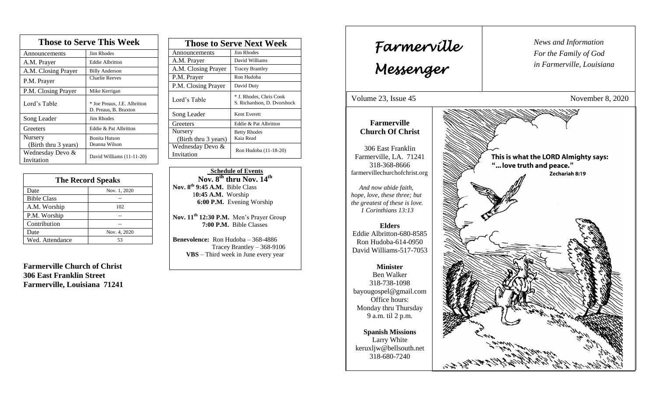| <b>Those to Serve This Week</b> |                                                       |  |
|---------------------------------|-------------------------------------------------------|--|
| Announcements                   | Jim Rhodes                                            |  |
| A.M. Prayer                     | <b>Eddie Albritton</b>                                |  |
| A.M. Closing Prayer             | <b>Billy Anderson</b>                                 |  |
| P.M. Prayer                     | <b>Charlie Reeves</b>                                 |  |
| P.M. Closing Prayer             | Mike Kerrigan                                         |  |
| Lord's Table                    | * Joe Preaus, J.E. Albritton<br>D. Preaus, B. Braxton |  |
| Song Leader                     | Jim Rhodes                                            |  |
| Greeters                        | Eddie & Pat Albritton                                 |  |
| Nursery<br>(Birth thru 3 years) | <b>Bonita Hutson</b><br>Deanna Wilson                 |  |
| Wednesday Devo &<br>Invitation  | David Williams (11-11-20)                             |  |

| <b>The Record Speaks</b> |              |
|--------------------------|--------------|
| Date                     | Nov. 1, 2020 |
| <b>Bible Class</b>       |              |
| A.M. Worship             | 102          |
| P.M. Worship             |              |
| Contribution             |              |
| Date                     | Nov. 4, 2020 |
| Wed. Attendance          | 53           |

**Farmerville Church of Christ 306 East Franklin Street Farmerville, Louisiana 71241**

| <b>Those to Serve Next Week</b> |                                                        |
|---------------------------------|--------------------------------------------------------|
| Announcements                   | Jim Rhodes                                             |
| A.M. Prayer                     | David Williams                                         |
| A.M. Closing Prayer             | <b>Tracey Brantley</b>                                 |
| P.M. Prayer                     | Ron Hudoba                                             |
| P.M. Closing Prayer             | David Duty                                             |
| Lord's Table                    | * J. Rhodes, Chris Cook<br>S. Richardson, D. Dvorshock |
| Song Leader                     | Kent Everett                                           |
| Greeters                        | Eddie & Pat Albritton                                  |
| Nursery                         | <b>Betty Rhodes</b>                                    |
| (Birth thru 3 years)            | Kaia Read                                              |
| Wednesday Devo &                | Ron Hudoba (11-18-20)                                  |
| Invitation                      |                                                        |

 **Schedule of Events**  $\overline{\text{Nov. 8}^{\text{th}}}$  thru  $\overline{\text{Nov. 14}}^{\text{th}}$ **Nov. 8 th 9:45 A.M.** Bible Class 1**0:45 A.M.** Worship  **6:00 P.M.** Evening Worship

**Nov. 11th 12:30 P.M.** Men's Prayer Group **7:00 P.M.** Bible Classes

**Benevolence:** Ron Hudoba – 368-4886 Tracey Brantley – 368-9106 **VBS** – Third week in June every year